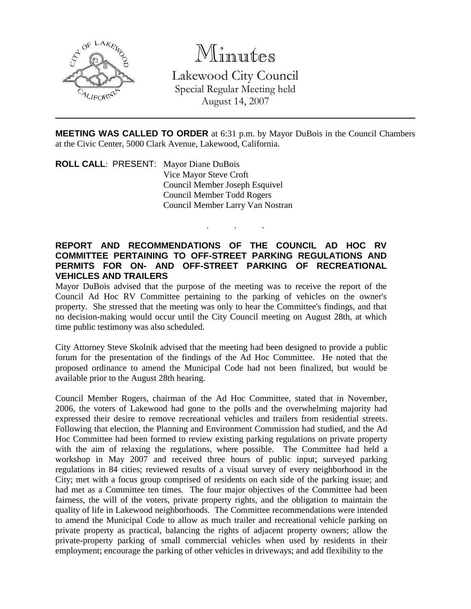

# Minutes

Lakewood City Council Special Regular Meeting held August 14, 2007

**MEETING WAS CALLED TO ORDER** at 6:31 p.m. by Mayor DuBois in the Council Chambers at the Civic Center, 5000 Clark Avenue, Lakewood, California.

. . .

**ROLL CALL**: PRESENT: Mayor Diane DuBois Vice Mayor Steve Croft Council Member Joseph Esquivel Council Member Todd Rogers Council Member Larry Van Nostran

## **REPORT AND RECOMMENDATIONS OF THE COUNCIL AD HOC RV COMMITTEE PERTAINING TO OFF-STREET PARKING REGULATIONS AND PERMITS FOR ON- AND OFF-STREET PARKING OF RECREATIONAL VEHICLES AND TRAILERS**

Mayor DuBois advised that the purpose of the meeting was to receive the report of the Council Ad Hoc RV Committee pertaining to the parking of vehicles on the owner's property. She stressed that the meeting was only to hear the Committee's findings, and that no decision-making would occur until the City Council meeting on August 28th, at which time public testimony was also scheduled.

City Attorney Steve Skolnik advised that the meeting had been designed to provide a public forum for the presentation of the findings of the Ad Hoc Committee. He noted that the proposed ordinance to amend the Municipal Code had not been finalized, but would be available prior to the August 28th hearing.

Council Member Rogers, chairman of the Ad Hoc Committee, stated that in November, 2006, the voters of Lakewood had gone to the polls and the overwhelming majority had expressed their desire to remove recreational vehicles and trailers from residential streets. Following that election, the Planning and Environment Commission had studied, and the Ad Hoc Committee had been formed to review existing parking regulations on private property with the aim of relaxing the regulations, where possible. The Committee had held a workshop in May 2007 and received three hours of public input; surveyed parking regulations in 84 cities; reviewed results of a visual survey of every neighborhood in the City; met with a focus group comprised of residents on each side of the parking issue; and had met as a Committee ten times. The four major objectives of the Committee had been fairness, the will of the voters, private property rights, and the obligation to maintain the quality of life in Lakewood neighborhoods. The Committee recommendations were intended to amend the Municipal Code to allow as much trailer and recreational vehicle parking on private property as practical, balancing the rights of adjacent property owners; allow the private-property parking of small commercial vehicles when used by residents in their employment; encourage the parking of other vehicles in driveways; and add flexibility to the